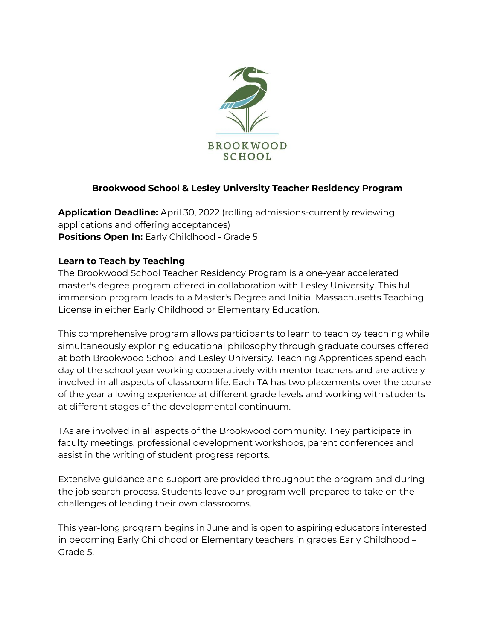

## **Brookwood School & Lesley University Teacher Residency Program**

**Application Deadline:** April 30, 2022 (rolling admissions-currently reviewing applications and offering acceptances) **Positions Open In:** Early Childhood - Grade 5

## **Learn to Teach by Teaching**

The Brookwood School Teacher Residency Program is a one-year accelerated master's degree program offered in collaboration with Lesley University. This full immersion program leads to a Master's Degree and Initial Massachusetts Teaching License in either Early Childhood or Elementary Education.

This comprehensive program allows participants to learn to teach by teaching while simultaneously exploring educational philosophy through graduate courses offered at both Brookwood School and Lesley University. Teaching Apprentices spend each day of the school year working cooperatively with mentor teachers and are actively involved in all aspects of classroom life. Each TA has two placements over the course of the year allowing experience at different grade levels and working with students at different stages of the developmental continuum.

TAs are involved in all aspects of the Brookwood community. They participate in faculty meetings, professional development workshops, parent conferences and assist in the writing of student progress reports.

Extensive guidance and support are provided throughout the program and during the job search process. Students leave our program well-prepared to take on the challenges of leading their own classrooms.

This year-long program begins in June and is open to aspiring educators interested in becoming Early Childhood or Elementary teachers in grades Early Childhood – Grade 5.